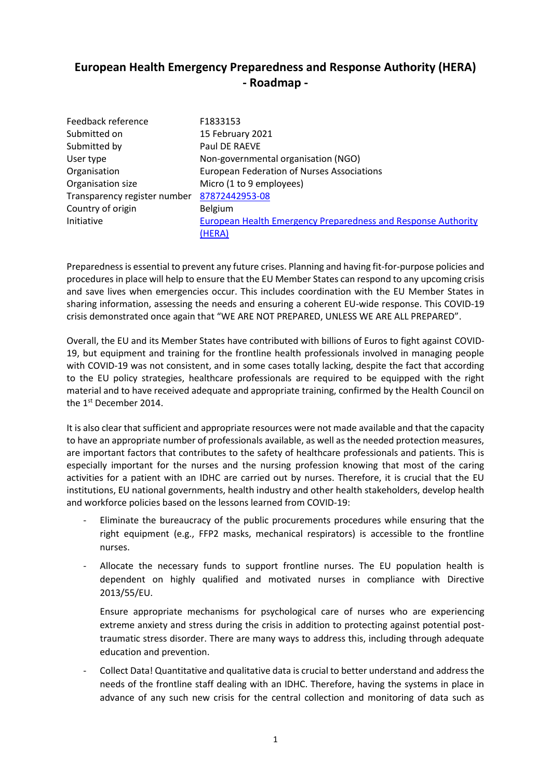## **European Health Emergency Preparedness and Response Authority (HERA) - Roadmap -**

| Feedback reference           | F1833153                                                      |
|------------------------------|---------------------------------------------------------------|
| Submitted on                 | 15 February 2021                                              |
| Submitted by                 | Paul DE RAEVE                                                 |
| User type                    | Non-governmental organisation (NGO)                           |
| Organisation                 | <b>European Federation of Nurses Associations</b>             |
| Organisation size            | Micro (1 to 9 employees)                                      |
| Transparency register number | 87872442953-08                                                |
| Country of origin            | <b>Belgium</b>                                                |
| Initiative                   | European Health Emergency Preparedness and Response Authority |
|                              | (HERA)                                                        |

Preparedness is essential to prevent any future crises. Planning and having fit-for-purpose policies and procedures in place will help to ensure that the EU Member States can respond to any upcoming crisis and save lives when emergencies occur. This includes coordination with the EU Member States in sharing information, assessing the needs and ensuring a coherent EU-wide response. This COVID-19 crisis demonstrated once again that "WE ARE NOT PREPARED, UNLESS WE ARE ALL PREPARED".

Overall, the EU and its Member States have contributed with billions of Euros to fight against COVID-19, but equipment and training for the frontline health professionals involved in managing people with COVID-19 was not consistent, and in some cases totally lacking, despite the fact that according to the EU policy strategies, healthcare professionals are required to be equipped with the right material and to have received adequate and appropriate training, confirmed by the Health Council on the 1<sup>st</sup> December 2014.

It is also clear that sufficient and appropriate resources were not made available and that the capacity to have an appropriate number of professionals available, as well as the needed protection measures, are important factors that contributes to the safety of healthcare professionals and patients. This is especially important for the nurses and the nursing profession knowing that most of the caring activities for a patient with an IDHC are carried out by nurses. Therefore, it is crucial that the EU institutions, EU national governments, health industry and other health stakeholders, develop health and workforce policies based on the lessons learned from COVID-19:

- Eliminate the bureaucracy of the public procurements procedures while ensuring that the right equipment (e.g., FFP2 masks, mechanical respirators) is accessible to the frontline nurses.
- Allocate the necessary funds to support frontline nurses. The EU population health is dependent on highly qualified and motivated nurses in compliance with Directive 2013/55/EU.

Ensure appropriate mechanisms for psychological care of nurses who are experiencing extreme anxiety and stress during the crisis in addition to protecting against potential posttraumatic stress disorder. There are many ways to address this, including through adequate education and prevention.

- Collect Data! Quantitative and qualitative data is crucial to better understand and address the needs of the frontline staff dealing with an IDHC. Therefore, having the systems in place in advance of any such new crisis for the central collection and monitoring of data such as